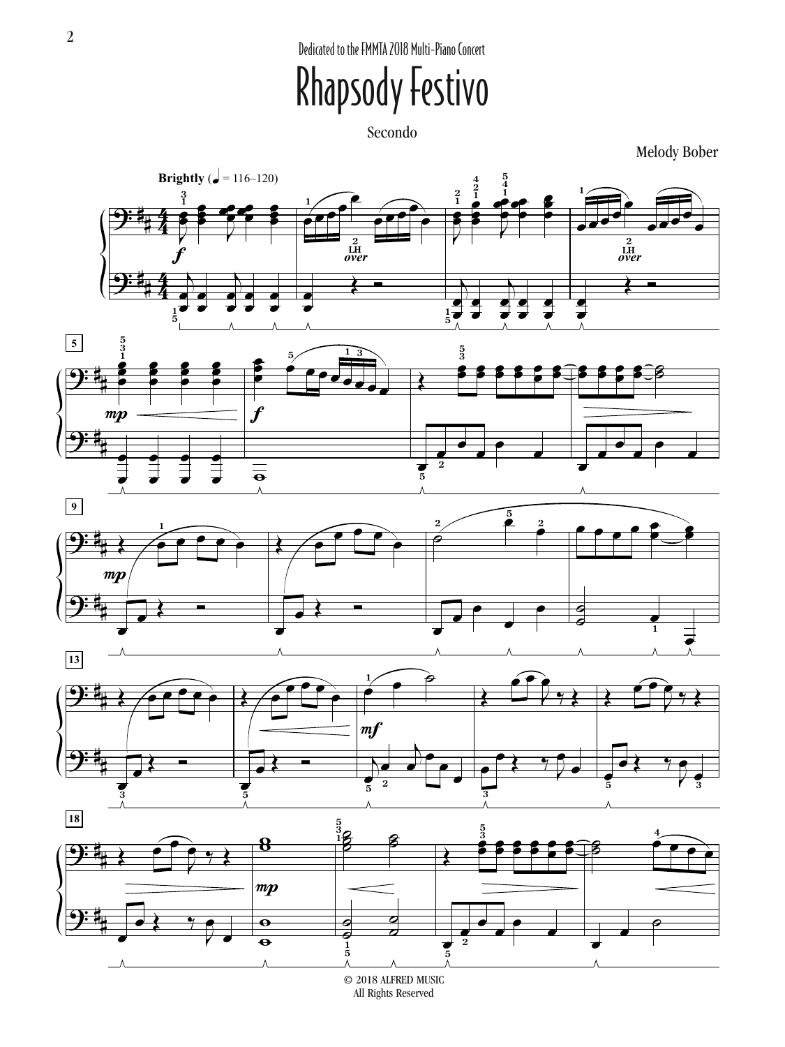Dedicated to the FMMTA 2018 Multi-Piano Concert

## Rhapsody Festivo

Secondo

Melody Bober



<sup>© 2018</sup> ALFRED MUSIC All Rights Reserved